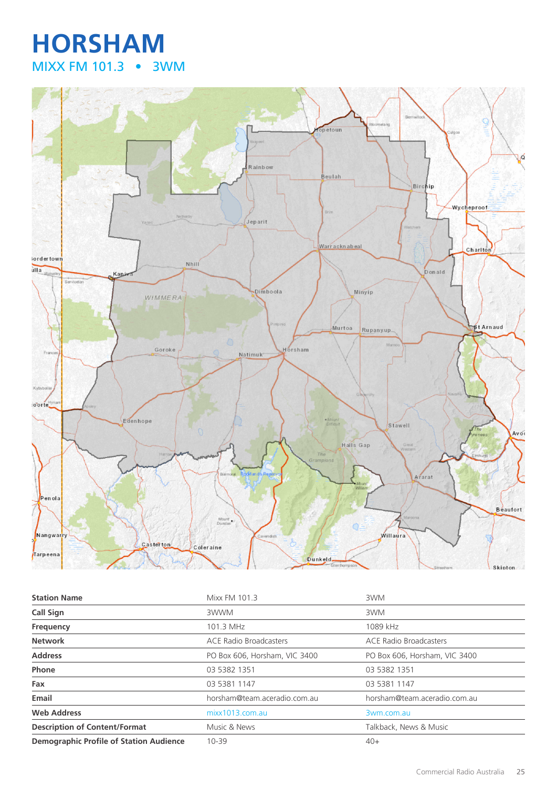## **HORSHAM** MIXX FM 101.3 • 3WM



| <b>Station Name</b>                            | Mixx FM 101.3                 | 3WM                           |
|------------------------------------------------|-------------------------------|-------------------------------|
| <b>Call Sign</b>                               | 3WWM                          | 3WM                           |
| Frequency                                      | 101.3 MHz                     | 1089 kHz                      |
| <b>Network</b>                                 | <b>ACE Radio Broadcasters</b> | <b>ACE Radio Broadcasters</b> |
| <b>Address</b>                                 | PO Box 606, Horsham, VIC 3400 | PO Box 606, Horsham, VIC 3400 |
| Phone                                          | 03 5382 1351                  | 03 5382 1351                  |
| Fax                                            | 03 5381 1147                  | 03 5381 1147                  |
| Email                                          | horsham@team.aceradio.com.au  | horsham@team.aceradio.com.au  |
| <b>Web Address</b>                             | mixx1013.com.au               | 3wm.com.au                    |
| <b>Description of Content/Format</b>           | Music & News                  | Talkback, News & Music        |
| <b>Demographic Profile of Station Audience</b> | $10 - 39$                     | $40+$                         |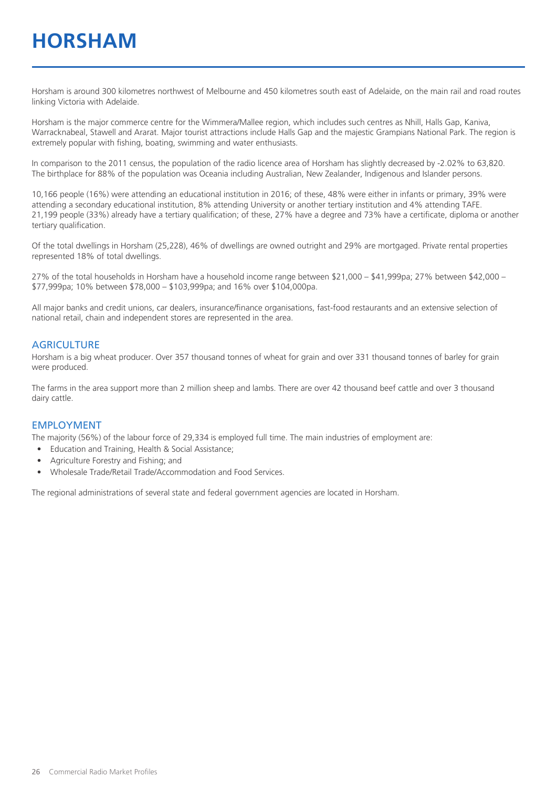Horsham is around 300 kilometres northwest of Melbourne and 450 kilometres south east of Adelaide, on the main rail and road routes linking Victoria with Adelaide.

Horsham is the major commerce centre for the Wimmera/Mallee region, which includes such centres as Nhill, Halls Gap, Kaniva, Warracknabeal, Stawell and Ararat. Major tourist attractions include Halls Gap and the majestic Grampians National Park. The region is extremely popular with fishing, boating, swimming and water enthusiasts.

In comparison to the 2011 census, the population of the radio licence area of Horsham has slightly decreased by -2.02% to 63,820. The birthplace for 88% of the population was Oceania including Australian, New Zealander, Indigenous and Islander persons.

10,166 people (16%) were attending an educational institution in 2016; of these, 48% were either in infants or primary, 39% were attending a secondary educational institution, 8% attending University or another tertiary institution and 4% attending TAFE. 21,199 people (33%) already have a tertiary qualification; of these, 27% have a degree and 73% have a certificate, diploma or another tertiary qualification.

Of the total dwellings in Horsham (25,228), 46% of dwellings are owned outright and 29% are mortgaged. Private rental properties represented 18% of total dwellings.

27% of the total households in Horsham have a household income range between \$21,000 – \$41,999pa; 27% between \$42,000 – \$77,999pa; 10% between \$78,000 – \$103,999pa; and 16% over \$104,000pa.

All major banks and credit unions, car dealers, insurance/finance organisations, fast-food restaurants and an extensive selection of national retail, chain and independent stores are represented in the area.

#### **AGRICULTURE**

Horsham is a big wheat producer. Over 357 thousand tonnes of wheat for grain and over 331 thousand tonnes of barley for grain were produced.

The farms in the area support more than 2 million sheep and lambs. There are over 42 thousand beef cattle and over 3 thousand dairy cattle.

#### EMPLOYMENT

The majority (56%) of the labour force of 29,334 is employed full time. The main industries of employment are:

- Education and Training, Health & Social Assistance;
- Agriculture Forestry and Fishing; and
- Wholesale Trade/Retail Trade/Accommodation and Food Services.

The regional administrations of several state and federal government agencies are located in Horsham.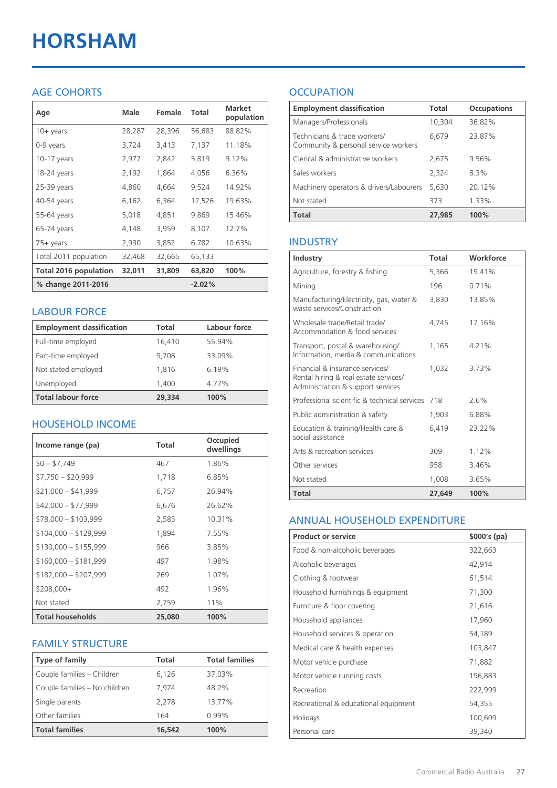# **HORSHAM**

### AGE COHORTS

| Age                          | Male   | Female | Total    | <b>Market</b><br>population |
|------------------------------|--------|--------|----------|-----------------------------|
| $10 + \gamma$ ears           | 28,287 | 28,396 | 56,683   | 88.82%                      |
| 0-9 years                    | 3,724  | 3,413  | 7,137    | 11.18%                      |
| $10-17$ years                | 2,977  | 2,842  | 5,819    | 9.12%                       |
| 18-24 years                  | 2,192  | 1,864  | 4,056    | 6.36%                       |
| 25-39 years                  | 4,860  | 4,664  | 9,524    | 14.92%                      |
| 40-54 years                  | 6,162  | 6,364  | 12,526   | 19.63%                      |
| 55-64 years                  | 5,018  | 4,851  | 9,869    | 15.46%                      |
| 65-74 years                  | 4,148  | 3,959  | 8,107    | 12.7%                       |
| $75+$ years                  | 2,930  | 3,852  | 6,782    | 10.63%                      |
| Total 2011 population        | 32,468 | 32,665 | 65,133   |                             |
| <b>Total 2016 population</b> | 32,011 | 31,809 | 63,820   | 100%                        |
| % change 2011-2016           |        |        | $-2.02%$ |                             |

#### LABOUR FORCE

| <b>Employment classification</b> | Total  | Labour force |
|----------------------------------|--------|--------------|
| Full-time employed               | 16,410 | 55.94%       |
| Part-time employed               | 9.708  | 33.09%       |
| Not stated employed              | 1.816  | 6.19%        |
| Unemployed                       | 1,400  | 4.77%        |
| <b>Total labour force</b>        | 29,334 | 100%         |

#### HOUSEHOLD INCOME

| Income range (pa)       | Total  | Occupied<br>dwellings |
|-------------------------|--------|-----------------------|
| $$0 - $7,749$           | 467    | 1.86%                 |
| $$7,750 - $20,999$      | 1,718  | 6.85%                 |
| $$21,000 - $41,999$     | 6,757  | 26.94%                |
| $$42,000 - $77,999$     | 6,676  | 26.62%                |
| $$78,000 - $103,999$    | 2,585  | 10.31%                |
| $$104,000 - $129,999$   | 1,894  | 7.55%                 |
| $$130,000 - $155,999$   | 966    | 3.85%                 |
| $$160,000 - $181,999$   | 497    | 1.98%                 |
| $$182,000 - $207,999$   | 269    | 1.07%                 |
| $$208,000+$             | 492    | 1.96%                 |
| Not stated              | 2,759  | 11%                   |
| <b>Total households</b> | 25,080 | 100%                  |

#### FAMILY STRUCTURE

| <b>Type of family</b>         | <b>Total</b> | <b>Total families</b> |
|-------------------------------|--------------|-----------------------|
| Couple families - Children    | 6,126        | 37.03%                |
| Couple families - No children | 7.974        | 48.2%                 |
| Single parents                | 2.278        | 13.77%                |
| Other families                | 164          | 0.99%                 |
| <b>Total families</b>         | 16,542       | 100%                  |

## **OCCUPATION**

| <b>Employment classification</b>                                     | Total  | <b>Occupations</b> |
|----------------------------------------------------------------------|--------|--------------------|
| Managers/Professionals                                               | 10,304 | 36.82%             |
| Technicians & trade workers/<br>Community & personal service workers | 6,679  | 23.87%             |
| Clerical & administrative workers                                    | 2,675  | 9.56%              |
| Sales workers                                                        | 2,324  | 8.3%               |
| Machinery operators & drivers/Labourers                              | 5.630  | 20.12%             |
| Not stated                                                           | 373    | 1.33%              |
| <b>Total</b>                                                         | 27,985 | 100%               |

#### INDUSTRY

| Industry                                                                                                      | Total  | Workforce |
|---------------------------------------------------------------------------------------------------------------|--------|-----------|
| Agriculture, forestry & fishing                                                                               | 5,366  | 19.41%    |
| Mining                                                                                                        | 196    | 0.71%     |
| Manufacturing/Electricity, gas, water &<br>waste services/Construction                                        | 3,830  | 13.85%    |
| Wholesale trade/Retail trade/<br>Accommodation & food services                                                | 4.745  | 17.16%    |
| Transport, postal & warehousing/<br>Information, media & communications                                       | 1,165  | 4.21%     |
| Financial & insurance services/<br>Rental hiring & real estate services/<br>Administration & support services | 1.032  | 3.73%     |
| Professional scientific & technical services                                                                  | 718    | 2.6%      |
| Public administration & safety                                                                                | 1,903  | 6.88%     |
| Education & training/Health care &<br>social assistance                                                       | 6.419  | 23.22%    |
| Arts & recreation services                                                                                    | 309    | 1.12%     |
| Other services                                                                                                | 958    | 3.46%     |
| Not stated                                                                                                    | 1,008  | 3.65%     |
| Total                                                                                                         | 27,649 | 100%      |

#### ANNUAL HOUSEHOLD EXPENDITURE

| <b>Product or service</b>            | $$000's$ (pa) |
|--------------------------------------|---------------|
| Food & non-alcoholic beverages       | 322,663       |
| Alcoholic beverages                  | 42,914        |
| Clothing & footwear                  | 61,514        |
| Household furnishings & equipment    | 71,300        |
| Furniture & floor covering           | 21,616        |
| Household appliances                 | 17,960        |
| Household services & operation       | 54,189        |
| Medical care & health expenses       | 103,847       |
| Motor vehicle purchase               | 71,882        |
| Motor vehicle running costs          | 196,883       |
| Recreation                           | 222,999       |
| Recreational & educational equipment | 54,355        |
| Holidays                             | 100,609       |
| Personal care                        | 39,340        |